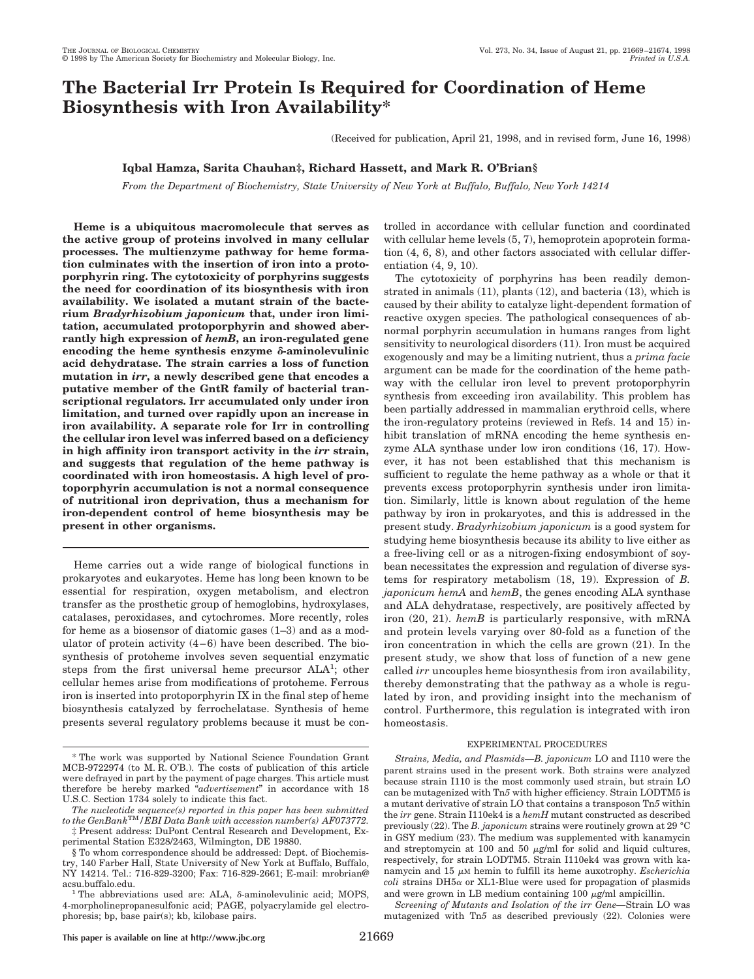# **The Bacterial Irr Protein Is Required for Coordination of Heme Biosynthesis with Iron Availability\***

(Received for publication, April 21, 1998, and in revised form, June 16, 1998)

## **Iqbal Hamza, Sarita Chauhan‡, Richard Hassett, and Mark R. O'Brian§**

*From the Department of Biochemistry, State University of New York at Buffalo, Buffalo, New York 14214*

**Heme is a ubiquitous macromolecule that serves as the active group of proteins involved in many cellular processes. The multienzyme pathway for heme formation culminates with the insertion of iron into a protoporphyrin ring. The cytotoxicity of porphyrins suggests the need for coordination of its biosynthesis with iron availability. We isolated a mutant strain of the bacterium** *Bradyrhizobium japonicum* **that, under iron limitation, accumulated protoporphyrin and showed aberrantly high expression of** *hemB***, an iron-regulated gene** encoding the heme synthesis enzyme  $\delta$ -aminolevulinic **acid dehydratase. The strain carries a loss of function mutation in** *irr***, a newly described gene that encodes a putative member of the GntR family of bacterial transcriptional regulators. Irr accumulated only under iron limitation, and turned over rapidly upon an increase in iron availability. A separate role for Irr in controlling the cellular iron level was inferred based on a deficiency in high affinity iron transport activity in the** *irr* **strain, and suggests that regulation of the heme pathway is coordinated with iron homeostasis. A high level of protoporphyrin accumulation is not a normal consequence of nutritional iron deprivation, thus a mechanism for iron-dependent control of heme biosynthesis may be present in other organisms.**

Heme carries out a wide range of biological functions in prokaryotes and eukaryotes. Heme has long been known to be essential for respiration, oxygen metabolism, and electron transfer as the prosthetic group of hemoglobins, hydroxylases, catalases, peroxidases, and cytochromes. More recently, roles for heme as a biosensor of diatomic gases (1–3) and as a modulator of protein activity  $(4-6)$  have been described. The biosynthesis of protoheme involves seven sequential enzymatic steps from the first universal heme precursor ALA<sup>1</sup>; other cellular hemes arise from modifications of protoheme. Ferrous iron is inserted into protoporphyrin IX in the final step of heme biosynthesis catalyzed by ferrochelatase. Synthesis of heme presents several regulatory problems because it must be con-

*The nucleotide sequence(s) reported in this paper has been submitted to the GenBank*TM*/EBI Data Bank with accession number(s) AF073772.* ‡ Present address: DuPont Central Research and Development, Extrolled in accordance with cellular function and coordinated with cellular heme levels (5, 7), hemoprotein apoprotein formation (4, 6, 8), and other factors associated with cellular differentiation (4, 9, 10).

The cytotoxicity of porphyrins has been readily demonstrated in animals (11), plants (12), and bacteria (13), which is caused by their ability to catalyze light-dependent formation of reactive oxygen species. The pathological consequences of abnormal porphyrin accumulation in humans ranges from light sensitivity to neurological disorders (11). Iron must be acquired exogenously and may be a limiting nutrient, thus a *prima facie* argument can be made for the coordination of the heme pathway with the cellular iron level to prevent protoporphyrin synthesis from exceeding iron availability. This problem has been partially addressed in mammalian erythroid cells, where the iron-regulatory proteins (reviewed in Refs. 14 and 15) inhibit translation of mRNA encoding the heme synthesis enzyme ALA synthase under low iron conditions (16, 17). However, it has not been established that this mechanism is sufficient to regulate the heme pathway as a whole or that it prevents excess protoporphyrin synthesis under iron limitation. Similarly, little is known about regulation of the heme pathway by iron in prokaryotes, and this is addressed in the present study. *Bradyrhizobium japonicum* is a good system for studying heme biosynthesis because its ability to live either as a free-living cell or as a nitrogen-fixing endosymbiont of soybean necessitates the expression and regulation of diverse systems for respiratory metabolism (18, 19). Expression of *B. japonicum hemA* and *hemB*, the genes encoding ALA synthase and ALA dehydratase, respectively, are positively affected by iron (20, 21). *hemB* is particularly responsive, with mRNA and protein levels varying over 80-fold as a function of the iron concentration in which the cells are grown (21). In the present study, we show that loss of function of a new gene called *irr* uncouples heme biosynthesis from iron availability, thereby demonstrating that the pathway as a whole is regulated by iron, and providing insight into the mechanism of control. Furthermore, this regulation is integrated with iron homeostasis.

### EXPERIMENTAL PROCEDURES

*Strains, Media, and Plasmids—B. japonicum* LO and I110 were the parent strains used in the present work. Both strains were analyzed because strain I110 is the most commonly used strain, but strain LO can be mutagenized with Tn*5* with higher efficiency. Strain LODTM5 is a mutant derivative of strain LO that contains a transposon Tn*5* within the *irr* gene. Strain I110ek4 is a *hemH* mutant constructed as described previously (22). The *B. japonicum* strains were routinely grown at 29 °C in GSY medium (23). The medium was supplemented with kanamycin and streptomycin at 100 and 50  $\mu$ g/ml for solid and liquid cultures, respectively, for strain LODTM5. Strain I110ek4 was grown with kanamycin and  $15 \mu M$  hemin to fulfill its heme auxotrophy. *Escherichia*  $\text{coli}$  strains DH5 $\alpha$  or XL1-Blue were used for propagation of plasmids and were grown in LB medium containing  $100 \mu g/ml$  ampicillin.

*Screening of Mutants and Isolation of the irr Gene—*Strain LO was mutagenized with Tn*5* as described previously (22). Colonies were

<sup>\*</sup> The work was supported by National Science Foundation Grant MCB-9722974 (to M. R. O'B.). The costs of publication of this article were defrayed in part by the payment of page charges. This article must therefore be hereby marked "*advertisement*" in accordance with 18 U.S.C. Section 1734 solely to indicate this fact.

perimental Station E328/2463, Wilmington, DE 19880. § To whom correspondence should be addressed: Dept. of Biochemistry, 140 Farber Hall, State University of New York at Buffalo, Buffalo, NY 14214. Tel.: 716-829-3200; Fax: 716-829-2661; E-mail: mrobrian@

acsu.buffalo.edu.<br><sup>1</sup> The abbreviations used are: ALA,  $\delta$ -aminolevulinic acid; MOPS, 4-morpholinepropanesulfonic acid; PAGE, polyacrylamide gel electrophoresis; bp, base pair(s); kb, kilobase pairs.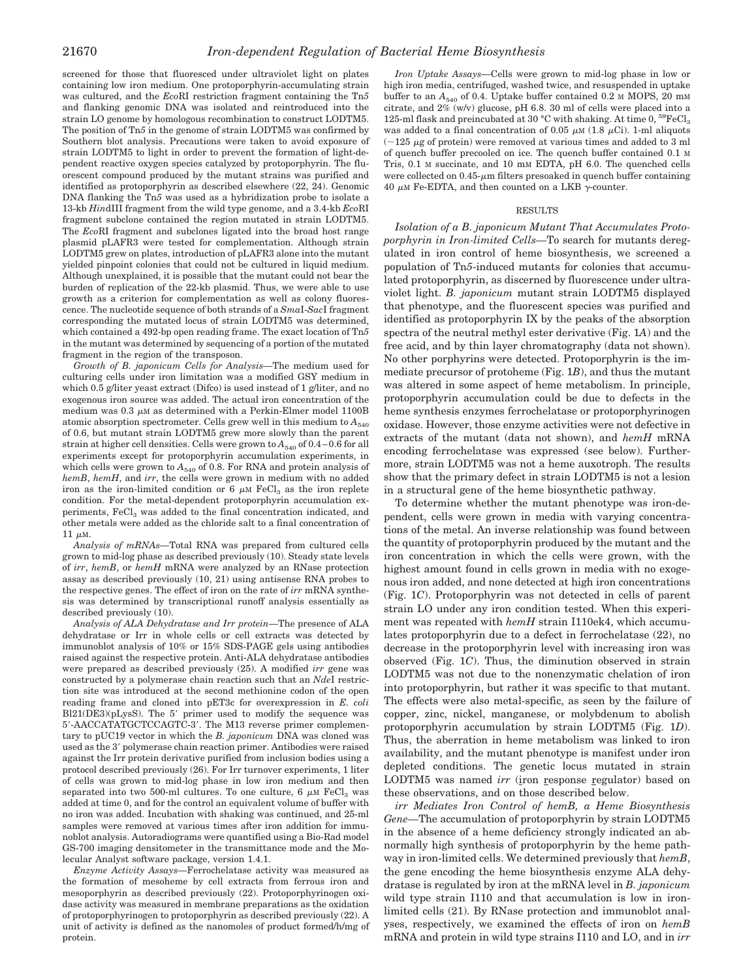screened for those that fluoresced under ultraviolet light on plates containing low iron medium. One protoporphyrin-accumulating strain was cultured, and the *Eco*RI restriction fragment containing the Tn*5* and flanking genomic DNA was isolated and reintroduced into the strain LO genome by homologous recombination to construct LODTM5. The position of Tn*5* in the genome of strain LODTM5 was confirmed by Southern blot analysis. Precautions were taken to avoid exposure of strain LODTM5 to light in order to prevent the formation of light-dependent reactive oxygen species catalyzed by protoporphyrin. The fluorescent compound produced by the mutant strains was purified and identified as protoporphyrin as described elsewhere (22, 24). Genomic DNA flanking the Tn*5* was used as a hybridization probe to isolate a 13-kb *Hin*dIII fragment from the wild type genome, and a 3.4-kb *Eco*RI fragment subclone contained the region mutated in strain LODTM5. The *Eco*RI fragment and subclones ligated into the broad host range plasmid pLAFR3 were tested for complementation. Although strain LODTM5 grew on plates, introduction of pLAFR3 alone into the mutant yielded pinpoint colonies that could not be cultured in liquid medium. Although unexplained, it is possible that the mutant could not bear the burden of replication of the 22-kb plasmid. Thus, we were able to use growth as a criterion for complementation as well as colony fluorescence. The nucleotide sequence of both strands of a *Sma*I-*Sac*I fragment corresponding the mutated locus of strain LODTM5 was determined, which contained a 492-bp open reading frame. The exact location of Tn*5* in the mutant was determined by sequencing of a portion of the mutated fragment in the region of the transposon.

*Growth of B. japonicum Cells for Analysis—*The medium used for culturing cells under iron limitation was a modified GSY medium in which 0.5 g/liter yeast extract (Difco) is used instead of 1 g/liter, and no exogenous iron source was added. The actual iron concentration of the medium was 0.3  $\mu$ M as determined with a Perkin-Elmer model 1100B atomic absorption spectrometer. Cells grew well in this medium to  $A_{540}$ of 0.6, but mutant strain LODTM5 grew more slowly than the parent strain at higher cell densities. Cells were grown to  $A_{540}$  of 0.4–0.6 for all experiments except for protoporphyrin accumulation experiments, in which cells were grown to  $A_{540}$  of 0.8. For RNA and protein analysis of *hemB*, *hemH*, and *irr*, the cells were grown in medium with no added iron as the iron-limited condition or 6  $\mu$ M FeCl<sub>3</sub> as the iron replete condition. For the metal-dependent protoporphyrin accumulation experiments, FeCl<sub>3</sub> was added to the final concentration indicated, and other metals were added as the chloride salt to a final concentration of 11  $\mu$ M.

*Analysis of mRNAs—*Total RNA was prepared from cultured cells grown to mid-log phase as described previously (10). Steady state levels of *irr*, *hemB*, or *hemH* mRNA were analyzed by an RNase protection assay as described previously (10, 21) using antisense RNA probes to the respective genes. The effect of iron on the rate of *irr* mRNA synthesis was determined by transcriptional runoff analysis essentially as described previously (10).

*Analysis of ALA Dehydratase and Irr protein*—The presence of ALA dehydratase or Irr in whole cells or cell extracts was detected by immunoblot analysis of 10% or 15% SDS-PAGE gels using antibodies raised against the respective protein. Anti-ALA dehydratase antibodies were prepared as described previously (25). A modified *irr* gene was constructed by a polymerase chain reaction such that an *Nde*I restriction site was introduced at the second methionine codon of the open reading frame and cloned into pET3c for overexpression in *E. coli*  $Bl21(DE3)(pLysS)$ . The 5' primer used to modify the sequence was 5'-AACCATATGCTCCAGTC-3'. The M13 reverse primer complementary to pUC19 vector in which the *B. japonicum* DNA was cloned was used as the 3' polymerase chain reaction primer. Antibodies were raised against the Irr protein derivative purified from inclusion bodies using a protocol described previously (26). For Irr turnover experiments, 1 liter of cells was grown to mid-log phase in low iron medium and then separated into two 500-ml cultures. To one culture,  $6 \mu M$  FeCl<sub>3</sub> was added at time 0, and for the control an equivalent volume of buffer with no iron was added. Incubation with shaking was continued, and 25-ml samples were removed at various times after iron addition for immunoblot analysis. Autoradiograms were quantified using a Bio-Rad model GS-700 imaging densitometer in the transmittance mode and the Molecular Analyst software package, version 1.4.1.

*Enzyme Activity Assays—*Ferrochelatase activity was measured as the formation of mesoheme by cell extracts from ferrous iron and mesoporphyrin as described previously (22). Protoporphyrinogen oxidase activity was measured in membrane preparations as the oxidation of protoporphyrinogen to protoporphyrin as described previously (22). A unit of activity is defined as the nanomoles of product formed/h/mg of protein.

*Iron Uptake Assays—*Cells were grown to mid-log phase in low or high iron media, centrifuged, washed twice, and resuspended in uptake buffer to an  $A_{540}$  of 0.4. Uptake buffer contained 0.2 M MOPS, 20 mM citrate, and 2% (w/v) glucose, pH 6.8. 30 ml of cells were placed into a 125-ml flask and preincubated at 30 °C with shaking. At time 0,  $^{59}\mathrm{FeCl}_3$ was added to a final concentration of 0.05  $\mu$ M (1.8  $\mu$ Ci). 1-ml aliquots  $(\sim125 \mu g)$  of protein) were removed at various times and added to 3 ml of quench buffer precooled on ice. The quench buffer contained 0.1 M Tris, 0.1 M succinate, and 10 mM EDTA, pH 6.0. The quenched cells were collected on  $0.45$ - $\mu$ m filters presoaked in quench buffer containing 40  $\mu$ M Fe-EDTA, and then counted on a LKB  $\gamma$ -counter.

### RESULTS

*Isolation of a B. japonicum Mutant That Accumulates Protoporphyrin in Iron-limited Cells—*To search for mutants deregulated in iron control of heme biosynthesis, we screened a population of Tn*5*-induced mutants for colonies that accumulated protoporphyrin, as discerned by fluorescence under ultraviolet light. *B. japonicum* mutant strain LODTM5 displayed that phenotype, and the fluorescent species was purified and identified as protoporphyrin IX by the peaks of the absorption spectra of the neutral methyl ester derivative (Fig. 1*A*) and the free acid, and by thin layer chromatography (data not shown). No other porphyrins were detected. Protoporphyrin is the immediate precursor of protoheme (Fig. 1*B*), and thus the mutant was altered in some aspect of heme metabolism. In principle, protoporphyrin accumulation could be due to defects in the heme synthesis enzymes ferrochelatase or protoporphyrinogen oxidase. However, those enzyme activities were not defective in extracts of the mutant (data not shown), and *hemH* mRNA encoding ferrochelatase was expressed (see below). Furthermore, strain LODTM5 was not a heme auxotroph. The results show that the primary defect in strain LODTM5 is not a lesion in a structural gene of the heme biosynthetic pathway.

To determine whether the mutant phenotype was iron-dependent, cells were grown in media with varying concentrations of the metal. An inverse relationship was found between the quantity of protoporphyrin produced by the mutant and the iron concentration in which the cells were grown, with the highest amount found in cells grown in media with no exogenous iron added, and none detected at high iron concentrations (Fig. 1*C*). Protoporphyrin was not detected in cells of parent strain LO under any iron condition tested. When this experiment was repeated with *hemH* strain I110ek4, which accumulates protoporphyrin due to a defect in ferrochelatase (22), no decrease in the protoporphyrin level with increasing iron was observed (Fig. 1*C*). Thus, the diminution observed in strain LODTM5 was not due to the nonenzymatic chelation of iron into protoporphyrin, but rather it was specific to that mutant. The effects were also metal-specific, as seen by the failure of copper, zinc, nickel, manganese, or molybdenum to abolish protoporphyrin accumulation by strain LODTM5 (Fig. 1*D*). Thus, the aberration in heme metabolism was linked to iron availability, and the mutant phenotype is manifest under iron depleted conditions. The genetic locus mutated in strain LODTM5 was named *irr* (iron response regulator) based on these observations, and on those described below.

*irr Mediates Iron Control of hemB, a Heme Biosynthesis Gene—*The accumulation of protoporphyrin by strain LODTM5 in the absence of a heme deficiency strongly indicated an abnormally high synthesis of protoporphyrin by the heme pathway in iron-limited cells. We determined previously that *hemB*, the gene encoding the heme biosynthesis enzyme ALA dehydratase is regulated by iron at the mRNA level in *B. japonicum* wild type strain I110 and that accumulation is low in ironlimited cells (21). By RNase protection and immunoblot analyses, respectively, we examined the effects of iron on *hemB* mRNA and protein in wild type strains I110 and LO, and in *irr*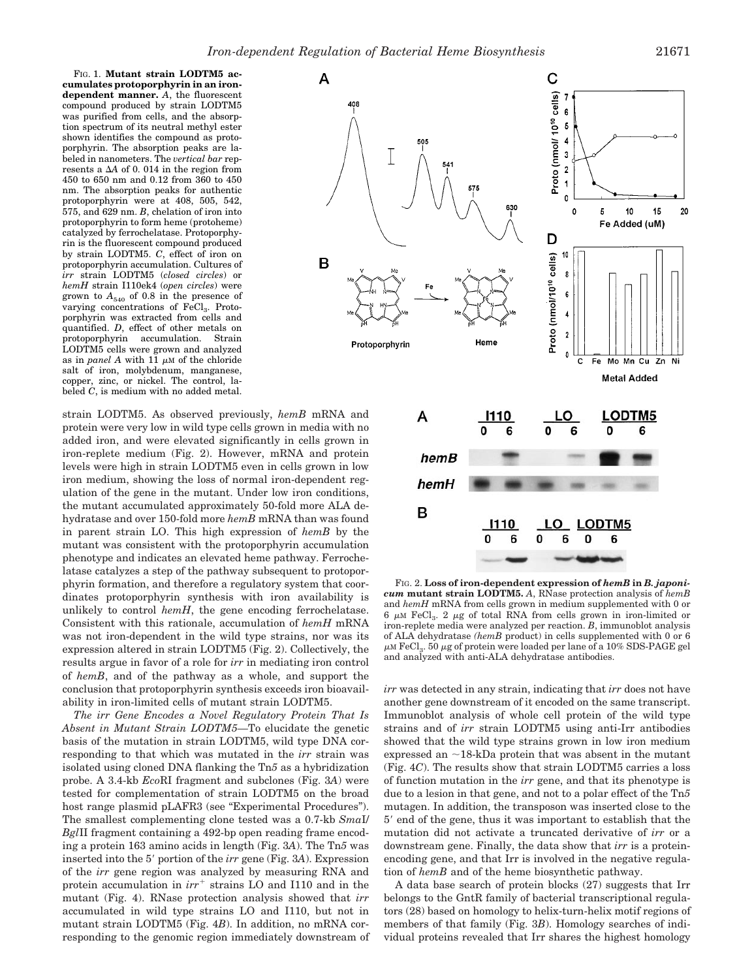FIG. 1. **Mutant strain LODTM5 accumulates protoporphyrin in an irondependent manner.** *A*, the fluorescent compound produced by strain LODTM5 was purified from cells, and the absorption spectrum of its neutral methyl ester shown identifies the compound as protoporphyrin. The absorption peaks are labeled in nanometers. The *vertical bar* represents a  $\Delta A$  of 0.014 in the region from 450 to 650 nm and 0.12 from 360 to 450 nm. The absorption peaks for authentic protoporphyrin were at 408, 505, 542, 575, and 629 nm. *B*, chelation of iron into protoporphyrin to form heme (protoheme) catalyzed by ferrochelatase. Protoporphyrin is the fluorescent compound produced by strain LODTM5. *C*, effect of iron on protoporphyrin accumulation. Cultures of *irr* strain LODTM5 (*closed circles*) or *hemH* strain I110ek4 (*open circles*) were grown to  $A_{540}$  of 0.8 in the presence of varying concentrations of FeCl<sub>3</sub>. Protoporphyrin was extracted from cells and quantified. *D*, effect of other metals on protoporphyrin accumulation. Strain LODTM5 cells were grown and analyzed as in  $panel\ A$  with 11  $\mu{\rm M}$  of the chloride salt of iron, molybdenum, manganese, copper, zinc, or nickel. The control, labeled *C*, is medium with no added metal.

strain LODTM5. As observed previously, *hemB* mRNA and protein were very low in wild type cells grown in media with no added iron, and were elevated significantly in cells grown in iron-replete medium (Fig. 2). However, mRNA and protein levels were high in strain LODTM5 even in cells grown in low iron medium, showing the loss of normal iron-dependent regulation of the gene in the mutant. Under low iron conditions, the mutant accumulated approximately 50-fold more ALA dehydratase and over 150-fold more *hemB* mRNA than was found in parent strain LO. This high expression of *hemB* by the mutant was consistent with the protoporphyrin accumulation phenotype and indicates an elevated heme pathway. Ferrochelatase catalyzes a step of the pathway subsequent to protoporphyrin formation, and therefore a regulatory system that coordinates protoporphyrin synthesis with iron availability is unlikely to control *hemH*, the gene encoding ferrochelatase. Consistent with this rationale, accumulation of *hemH* mRNA was not iron-dependent in the wild type strains, nor was its expression altered in strain LODTM5 (Fig. 2). Collectively, the results argue in favor of a role for *irr* in mediating iron control of *hemB*, and of the pathway as a whole, and support the conclusion that protoporphyrin synthesis exceeds iron bioavailability in iron-limited cells of mutant strain LODTM5.

*The irr Gene Encodes a Novel Regulatory Protein That Is Absent in Mutant Strain LODTM5—*To elucidate the genetic basis of the mutation in strain LODTM5, wild type DNA corresponding to that which was mutated in the *irr* strain was isolated using cloned DNA flanking the Tn*5* as a hybridization probe. A 3.4-kb *Eco*RI fragment and subclones (Fig. 3*A*) were tested for complementation of strain LODTM5 on the broad host range plasmid pLAFR3 (see "Experimental Procedures"). The smallest complementing clone tested was a 0.7-kb *Sma*I/ *Bgl*II fragment containing a 492-bp open reading frame encoding a protein 163 amino acids in length (Fig. 3*A*). The Tn*5* was inserted into the 5' portion of the *irr* gene (Fig. 3A). Expression of the *irr* gene region was analyzed by measuring RNA and protein accumulation in  $irr^+$  strains LO and I110 and in the mutant (Fig. 4). RNase protection analysis showed that *irr* accumulated in wild type strains LO and I110, but not in mutant strain LODTM5 (Fig. 4*B*). In addition, no mRNA corresponding to the genomic region immediately downstream of



FIG. 2. **Loss of iron-dependent expression of** *hemB* **in** *B. japonicum* **mutant strain LODTM5.** *A*, RNase protection analysis of *hemB* and *hemH* mRNA from cells grown in medium supplemented with 0 or 6  $\mu$ M FeCl<sub>3</sub>. 2  $\mu$ g of total RNA from cells grown in iron-limited or iron-replete media were analyzed per reaction. *B*, immunoblot analysis of ALA dehydratase *(hemB* product) in cells supplemented with 0 or 6  $\mu$ M FeCl<sub>3</sub>. 50  $\mu$ g of protein were loaded per lane of a 10% SDS-PAGE gel and analyzed with anti-ALA dehydratase antibodies.

*irr* was detected in any strain, indicating that *irr* does not have another gene downstream of it encoded on the same transcript. Immunoblot analysis of whole cell protein of the wild type strains and of *irr* strain LODTM5 using anti-Irr antibodies showed that the wild type strains grown in low iron medium expressed an  $\sim$ 18-kDa protein that was absent in the mutant (Fig. 4*C*). The results show that strain LODTM5 carries a loss of function mutation in the *irr* gene, and that its phenotype is due to a lesion in that gene, and not to a polar effect of the Tn*5* mutagen. In addition, the transposon was inserted close to the 5' end of the gene, thus it was important to establish that the mutation did not activate a truncated derivative of *irr* or a downstream gene. Finally, the data show that *irr* is a proteinencoding gene, and that Irr is involved in the negative regulation of *hemB* and of the heme biosynthetic pathway.

A data base search of protein blocks (27) suggests that Irr belongs to the GntR family of bacterial transcriptional regulators (28) based on homology to helix-turn-helix motif regions of members of that family (Fig. 3*B*). Homology searches of individual proteins revealed that Irr shares the highest homology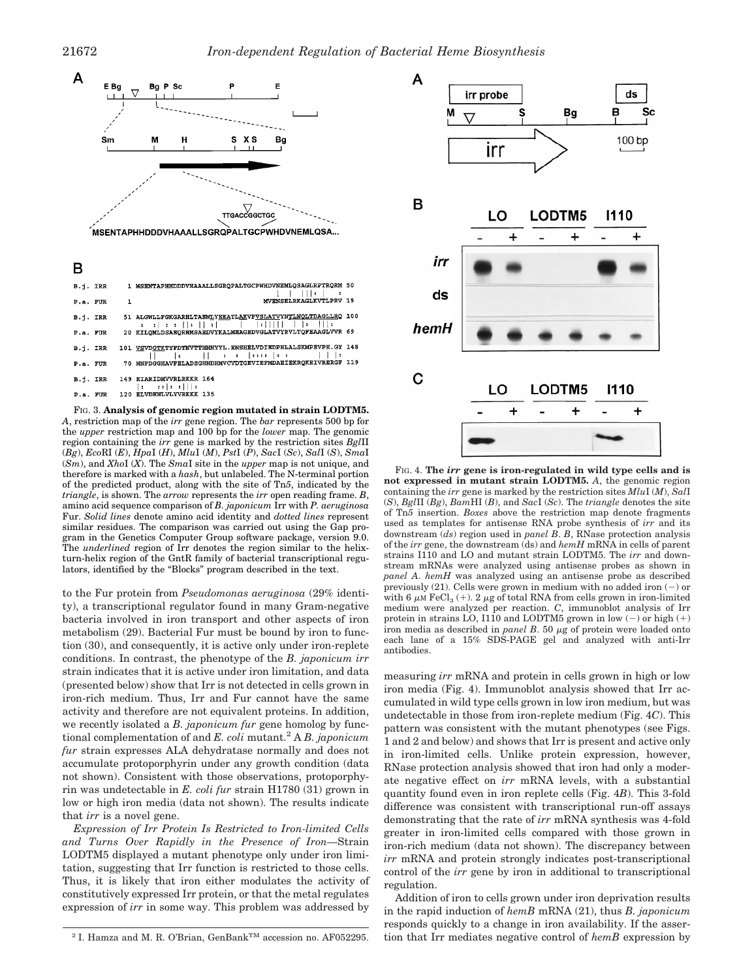

B

|          |   | B.j. IRR 1 MSENTAPHHDDDVHAAALLSGRQPALTGCPWHDVNEMLQSAGLRPTRQRM 50                                                                                                                                                                                                                                                                   |  |
|----------|---|------------------------------------------------------------------------------------------------------------------------------------------------------------------------------------------------------------------------------------------------------------------------------------------------------------------------------------|--|
| P.a. FUR | 1 | $\blacksquare$<br>MVENSELRKAGLKVTLPRV 19                                                                                                                                                                                                                                                                                           |  |
| B.i. IRR |   | 51 ALGWLLFGKGARHLTAEMLYEEATLAKVPVSLATVYNTLNOLTDAGLLRQ 100                                                                                                                                                                                                                                                                          |  |
| P.a. FUR |   | 20 KILQMLDSAEQRHMSAEDVYKALMEAGEDVGLATVYRVLTQFEAAGLVVR 69                                                                                                                                                                                                                                                                           |  |
| B.i. IRR |   | 101 VSVDGTKTYFDTNVTTHHHYYL.ENSHELVDIEDPHLALSKMPEVPE.GY 148<br>$   \qquad   _2$ , $   \qquad   _1$ , $  _2$ , $  _3$ , $  _4$ , $  _4$ , $  _5$ , $  _1$ , $  _2$ , $  _3$ , $  _4$ , $  _5$ , $  _1$ , $  _2$ , $  _3$ , $  _4$ , $  _5$ , $  _1$ , $  _2$ , $  _3$ , $  _4$ , $  _5$ , $  _1$ , $  _2$ , $  _3$ , $  _4$ , $  _5$ |  |
| P.a. FUR |   | 70 HNFDGGHAVFELADSGHHDHMVCVDTGEVIEFMDAEIEKRQKEIVRERGF 119                                                                                                                                                                                                                                                                          |  |
| B.i. IRR |   | 149 EIARIDMVVRLRKKR 164                                                                                                                                                                                                                                                                                                            |  |
|          |   | P.a. FUR 120 ELVDHNLVLYVRKKK 135                                                                                                                                                                                                                                                                                                   |  |
|          |   |                                                                                                                                                                                                                                                                                                                                    |  |

FIG. 3. **Analysis of genomic region mutated in strain LODTM5.** *A*, restriction map of the *irr* gene region. The *bar* represents 500 bp for the *upper* restriction map and 100 bp for the *lower* map. The genomic region containing the *irr* gene is marked by the restriction sites *Bgl*II (*Bg*), *Eco*RI (*E*), *Hpa*I (*H*), *Mlu*I (*M*), *Pst*I (*P*), *Sac*I (*Sc*), *Sal*I (*S*), *Sma*I (*Sm*), and *Xho*I (*X*). The *Sma*I site in the *upper* map is not unique, and therefore is marked with a *hash*, but unlabeled. The N-terminal portion of the predicted product, along with the site of Tn*5*, indicated by the *triangle*, is shown. The *arrow* represents the *irr* open reading frame. *B*, amino acid sequence comparison of *B. japonicum* Irr with *P. aeruginosa* Fur. *Solid lines* denote amino acid identity and *dotted lines* represent similar residues. The comparison was carried out using the Gap program in the Genetics Computer Group software package, version 9.0. The *underlined* region of Irr denotes the region similar to the helixturn-helix region of the GntR family of bacterial transcriptional regulators, identified by the "Blocks" program described in the text.

to the Fur protein from *Pseudomonas aeruginosa* (29% identity), a transcriptional regulator found in many Gram-negative bacteria involved in iron transport and other aspects of iron metabolism (29). Bacterial Fur must be bound by iron to function (30), and consequently, it is active only under iron-replete conditions. In contrast, the phenotype of the *B. japonicum irr* strain indicates that it is active under iron limitation, and data (presented below) show that Irr is not detected in cells grown in iron-rich medium. Thus, Irr and Fur cannot have the same activity and therefore are not equivalent proteins. In addition, we recently isolated a *B. japonicum fur* gene homolog by functional complementation of and *E. coli* mutant.2 A *B. japonicum fur* strain expresses ALA dehydratase normally and does not accumulate protoporphyrin under any growth condition (data not shown). Consistent with those observations, protoporphyrin was undetectable in *E. coli fur* strain H1780 (31) grown in low or high iron media (data not shown). The results indicate that *irr* is a novel gene.

*Expression of Irr Protein Is Restricted to Iron-limited Cells and Turns Over Rapidly in the Presence of Iron—*Strain LODTM5 displayed a mutant phenotype only under iron limitation, suggesting that Irr function is restricted to those cells. Thus, it is likely that iron either modulates the activity of constitutively expressed Irr protein, or that the metal regulates expression of *irr* in some way. This problem was addressed by



FIG. 4. **The** *irr* **gene is iron-regulated in wild type cells and is not expressed in mutant strain LODTM5.** *A*, the genomic region containing the *irr* gene is marked by the restriction sites *Mlu*I (*M*), *Sal*I (*S*), *Bgl*II (*Bg*), *Bam*HI (*B*), and *Sac*I (*Sc*). The *triangle* denotes the site of Tn*5* insertion. *Boxes* above the restriction map denote fragments used as templates for antisense RNA probe synthesis of *irr* and its downstream (*ds*) region used in *panel B*. *B*, RNase protection analysis of the *irr* gene, the downstream (ds) and *hemH* mRNA in cells of parent strains I110 and LO and mutant strain LODTM5. The *irr* and downstream mRNAs were analyzed using antisense probes as shown in *panel A*. *hemH* was analyzed using an antisense probe as described previously (21). Cells were grown in medium with no added iron  $(-)$  or with 6  $\mu$ M FeCl<sub>3</sub> (+). 2  $\mu$ g of total RNA from cells grown in iron-limited medium were analyzed per reaction. *C*, immunoblot analysis of Irr protein in strains LO, I110 and LODTM5 grown in low  $(-)$  or high  $(+)$ iron media as described in *panel B*. 50  $\mu$ g of protein were loaded onto each lane of a 15% SDS-PAGE gel and analyzed with anti-Irr antibodies.

measuring *irr* mRNA and protein in cells grown in high or low iron media (Fig. 4). Immunoblot analysis showed that Irr accumulated in wild type cells grown in low iron medium, but was undetectable in those from iron-replete medium (Fig. 4*C*). This pattern was consistent with the mutant phenotypes (see Figs. 1 and 2 and below) and shows that Irr is present and active only in iron-limited cells. Unlike protein expression, however, RNase protection analysis showed that iron had only a moderate negative effect on *irr* mRNA levels, with a substantial quantity found even in iron replete cells (Fig. 4*B*). This 3-fold difference was consistent with transcriptional run-off assays demonstrating that the rate of *irr* mRNA synthesis was 4-fold greater in iron-limited cells compared with those grown in iron-rich medium (data not shown). The discrepancy between *irr* mRNA and protein strongly indicates post-transcriptional control of the *irr* gene by iron in additional to transcriptional regulation.

Addition of iron to cells grown under iron deprivation results in the rapid induction of *hemB* mRNA (21), thus *B. japonicum* responds quickly to a change in iron availability. If the asser-<sup>2</sup> I. Hamza and M. R. O'Brian, GenBank<sup>TM</sup> accession no. AF052295. tion that Irr mediates negative control of *hemB* expression by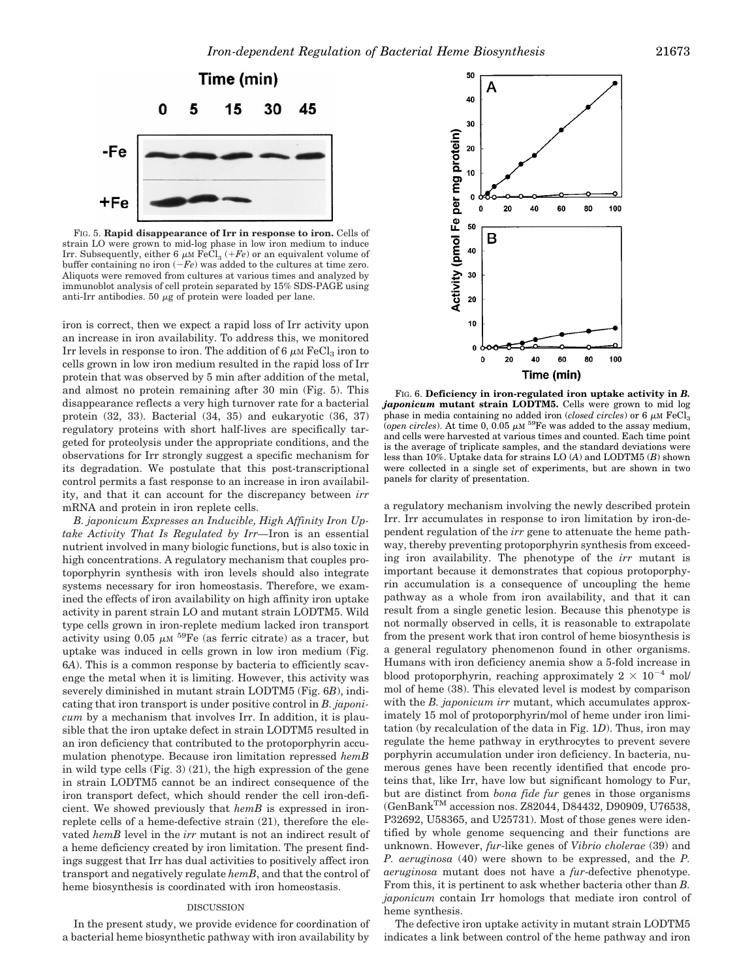

FIG. 5. **Rapid disappearance of Irr in response to iron.** Cells of strain LO were grown to mid-log phase in low iron medium to induce Irr. Subsequently, either 6  $\mu$ M FeCl<sub>3</sub> (*+Fe*) or an equivalent volume of buffer containing no iron  $(-Fe)$  was added to the cultures at time zero. Aliquots were removed from cultures at various times and analyzed by immunoblot analysis of cell protein separated by 15% SDS-PAGE using anti-Irr antibodies. 50  $\mu$ g of protein were loaded per lane.

iron is correct, then we expect a rapid loss of Irr activity upon an increase in iron availability. To address this, we monitored Irr levels in response to iron. The addition of 6  $\mu$ M FeCl<sub>3</sub> iron to cells grown in low iron medium resulted in the rapid loss of Irr protein that was observed by 5 min after addition of the metal, and almost no protein remaining after 30 min (Fig. 5). This disappearance reflects a very high turnover rate for a bacterial protein (32, 33). Bacterial (34, 35) and eukaryotic (36, 37) regulatory proteins with short half-lives are specifically targeted for proteolysis under the appropriate conditions, and the observations for Irr strongly suggest a specific mechanism for its degradation. We postulate that this post-transcriptional control permits a fast response to an increase in iron availability, and that it can account for the discrepancy between *irr* mRNA and protein in iron replete cells.

*B. japonicum Expresses an Inducible, High Affinity Iron Uptake Activity That Is Regulated by Irr—*Iron is an essential nutrient involved in many biologic functions, but is also toxic in high concentrations. A regulatory mechanism that couples protoporphyrin synthesis with iron levels should also integrate systems necessary for iron homeostasis. Therefore, we examined the effects of iron availability on high affinity iron uptake activity in parent strain LO and mutant strain LODTM5. Wild type cells grown in iron-replete medium lacked iron transport activity using 0.05  $\mu$ M <sup>59</sup>Fe (as ferric citrate) as a tracer, but uptake was induced in cells grown in low iron medium (Fig. 6*A*). This is a common response by bacteria to efficiently scavenge the metal when it is limiting. However, this activity was severely diminished in mutant strain LODTM5 (Fig. 6*B*), indicating that iron transport is under positive control in *B. japonicum* by a mechanism that involves Irr. In addition, it is plausible that the iron uptake defect in strain LODTM5 resulted in an iron deficiency that contributed to the protoporphyrin accumulation phenotype. Because iron limitation repressed *hemB* in wild type cells (Fig. 3) (21), the high expression of the gene in strain LODTM5 cannot be an indirect consequence of the iron transport defect, which should render the cell iron-deficient. We showed previously that *hemB* is expressed in ironreplete cells of a heme-defective strain (21), therefore the elevated *hemB* level in the *irr* mutant is not an indirect result of a heme deficiency created by iron limitation. The present findings suggest that Irr has dual activities to positively affect iron transport and negatively regulate *hemB*, and that the control of heme biosynthesis is coordinated with iron homeostasis.

#### DISCUSSION

In the present study, we provide evidence for coordination of a bacterial heme biosynthetic pathway with iron availability by



FIG. 6. **Deficiency in iron-regulated iron uptake activity in** *B. japonicum* **mutant strain LODTM5.** Cells were grown to mid log phase in media containing no added iron *(closed circles)* or 6  $\mu$ M FeCl<sub>2</sub> (*open circles*). At time 0, 0.05  $\mu$ <sup>59</sup>Fe was added to the assay medium, and cells were harvested at various times and counted. Each time point is the average of triplicate samples, and the standard deviations were less than 10%. Uptake data for strains LO (*A*) and LODTM5 (*B*) shown were collected in a single set of experiments, but are shown in two panels for clarity of presentation.

a regulatory mechanism involving the newly described protein Irr. Irr accumulates in response to iron limitation by iron-dependent regulation of the *irr* gene to attenuate the heme pathway, thereby preventing protoporphyrin synthesis from exceeding iron availability. The phenotype of the *irr* mutant is important because it demonstrates that copious protoporphyrin accumulation is a consequence of uncoupling the heme pathway as a whole from iron availability, and that it can result from a single genetic lesion. Because this phenotype is not normally observed in cells, it is reasonable to extrapolate from the present work that iron control of heme biosynthesis is a general regulatory phenomenon found in other organisms. Humans with iron deficiency anemia show a 5-fold increase in blood protoporphyrin, reaching approximately  $2 \times 10^{-4}$  mol/ mol of heme (38). This elevated level is modest by comparison with the *B. japonicum irr* mutant, which accumulates approximately 15 mol of protoporphyrin/mol of heme under iron limitation (by recalculation of the data in Fig. 1*D*). Thus, iron may regulate the heme pathway in erythrocytes to prevent severe porphyrin accumulation under iron deficiency. In bacteria, numerous genes have been recently identified that encode proteins that, like Irr, have low but significant homology to Fur, but are distinct from *bona fide fur* genes in those organisms (GenBankTM accession nos. Z82044, D84432, D90909, U76538, P32692, U58365, and U25731). Most of those genes were identified by whole genome sequencing and their functions are unknown. However, *fur*-like genes of *Vibrio cholerae* (39) and *P. aeruginosa* (40) were shown to be expressed, and the *P. aeruginosa* mutant does not have a *fur*-defective phenotype. From this, it is pertinent to ask whether bacteria other than *B. japonicum* contain Irr homologs that mediate iron control of heme synthesis.

The defective iron uptake activity in mutant strain LODTM5 indicates a link between control of the heme pathway and iron